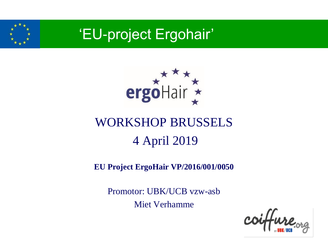



### WORKSHOP BRUSSELS 4 April 2019

#### **EU Project ErgoHair VP/2016/001/0050**

Promotor: UBK/UCB vzw-asb Miet Verhamme

coiffure.org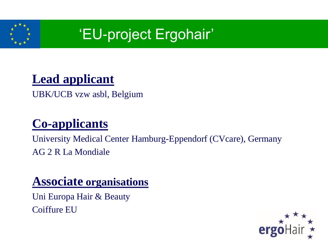

#### **Lead applicant**

UBK/UCB vzw asbl, Belgium

### **Co-applicants**

University Medical Center Hamburg-Eppendorf (CVcare), Germany AG 2 R La Mondiale

#### **Associate organisations**

Uni Europa Hair & Beauty Coiffure EU

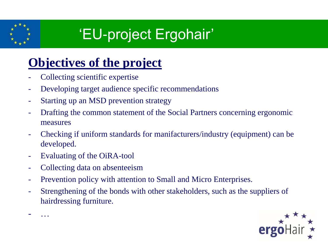

### **Objectives of the project**

- Collecting scientific expertise
- Developing target audience specific recommendations
- Starting up an MSD prevention strategy
- Drafting the common statement of the Social Partners concerning ergonomic measures
- Checking if uniform standards for manifacturers/industry (equipment) can be developed.
- Evaluating of the OiRA-tool

- …

- Collecting data on absenteeism
- Prevention policy with attention to Small and Micro Enterprises.
- Strengthening of the bonds with other stakeholders, such as the suppliers of hairdressing furniture.

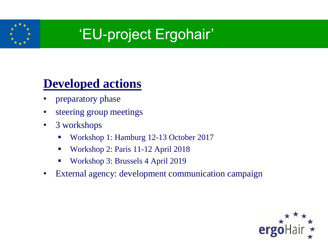

#### **Developed actions**

- preparatory phase
- steering group meetings
- 3 workshops
	- Workshop 1: Hamburg 12-13 October 2017
	- Workshop 2: Paris 11-12 April 2018
	- **Workshop 3: Brussels 4 April 2019**
- External agency: development communication campaign

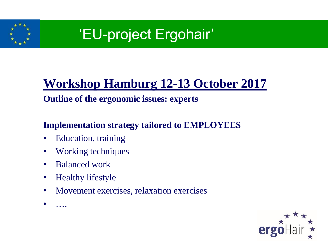

### **Workshop Hamburg 12-13 October 2017**

#### **Outline of the ergonomic issues: experts**

#### **Implementation strategy tailored to EMPLOYEES**

- Education, training
- Working techniques
- Balanced work
- Healthy lifestyle
- Movement exercises, relaxation exercises
- $\bullet$  ....

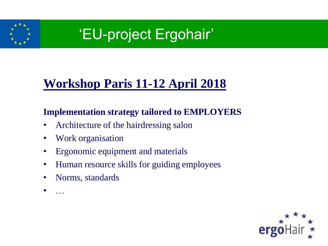

### **Workshop Paris 11-12 April 2018**

#### **Implementation strategy tailored to EMPLOYERS**

- Architecture of the hairdressing salon
- Work organisation
- Ergonomic equipment and materials
- Human resource skills for guiding employees
- Norms, standards
- …

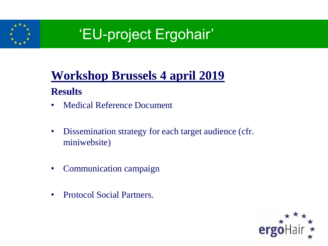

### **Workshop Brussels 4 april 2019 Results**

- Medical Reference Document
- Dissemination strategy for each target audience (cfr. miniwebsite)
- Communication campaign
- Protocol Social Partners.